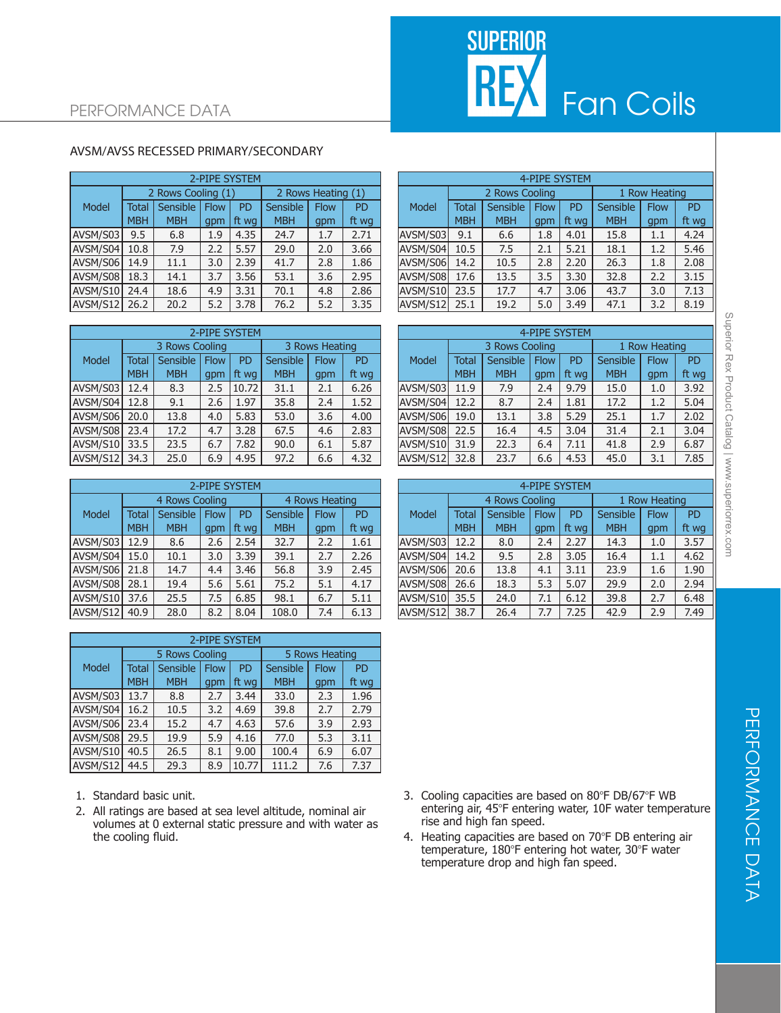

## AVSM/AVSS RECESSED PRIMARY/SECONDARY

|          | 2-PIPE SYSTEM |                    |             |                    |            |             |           |  |  |  |  |  |
|----------|---------------|--------------------|-------------|--------------------|------------|-------------|-----------|--|--|--|--|--|
|          |               | 2 Rows Cooling (1) |             | 2 Rows Heating (1) |            |             |           |  |  |  |  |  |
| Model    | <b>Total</b>  | Sensible           | <b>Flow</b> | PD                 | Sensible   | <b>Flow</b> | <b>PD</b> |  |  |  |  |  |
|          | <b>MBH</b>    | <b>MBH</b>         | qpm         | ft wg              | <b>MBH</b> | gpm         | ft wg     |  |  |  |  |  |
| AVSM/S03 | 9.5           | 6.8                | 1.9         | 4.35               | 24.7       | 1.7         | 2.71      |  |  |  |  |  |
| AVSM/S04 | 10.8<br>7.9   |                    | 2.2         | 5.57               | 29.0       | 2.0         | 3.66      |  |  |  |  |  |
| AVSM/S06 | 14.9          | 11.1               | 3.0         | 2.39               | 41.7       | 2.8         | 1.86      |  |  |  |  |  |
| AVSM/S08 | 18.3          | 14.1               | 3.7         | 3.56               | 53.1       | 3.6         | 2.95      |  |  |  |  |  |
| AVSM/S10 | 24.4          | 18.6               | 4.9         | 3.31               | 70.1       | 4.8         | 2.86      |  |  |  |  |  |
| AVSM/S12 | 26.2          | 20.2               | 5.2         | 3.78               | 76.2       | 5.2         | 3.35      |  |  |  |  |  |

| 2-PIPE SYSTEM |              |                |             |           |                |             |           |  |  |  |  |
|---------------|--------------|----------------|-------------|-----------|----------------|-------------|-----------|--|--|--|--|
|               |              | 3 Rows Cooling |             |           | 3 Rows Heating |             |           |  |  |  |  |
| Model         | <b>Total</b> | Sensible       | <b>Flow</b> | <b>PD</b> | Sensible       | <b>Flow</b> | <b>PD</b> |  |  |  |  |
|               | <b>MBH</b>   | <b>MBH</b>     | gpm         | ft wg     | <b>MBH</b>     | qpm         | ft wg     |  |  |  |  |
| AVSM/S03      | 12.4         | 8.3            | 2.5         | 10.72     | 31.1           | 2.1         | 6.26      |  |  |  |  |
| AVSM/S04      | 12.8         | 9.1            | 2.6         | 1.97      | 35.8           | 2.4         | 1.52      |  |  |  |  |
| AVSM/S06      | 20.0         | 13.8           | 4.0         | 5.83      | 53.0           | 3.6         | 4.00      |  |  |  |  |
| AVSM/S08      | 23.4         | 17.2           | 4.7         | 3.28      | 67.5           | 4.6         | 2.83      |  |  |  |  |
| AVSM/S10      | 33.5         | 23.5           | 6.7         | 7.82      | 90.0           | 6.1         | 5.87      |  |  |  |  |
| AVSM/S12      | 34.3         | 25.0           | 6.9         | 4.95      | 97.2           | 6.6         | 4.32      |  |  |  |  |

|              | 2-PIPE SYSTEM |                         |     |           |                |             |           |  |  |  |  |  |
|--------------|---------------|-------------------------|-----|-----------|----------------|-------------|-----------|--|--|--|--|--|
|              |               | 4 Rows Cooling          |     |           | 4 Rows Heating |             |           |  |  |  |  |  |
| <b>Model</b> | <b>Total</b>  | Sensible<br><b>Flow</b> |     | <b>PD</b> | Sensible       | <b>Flow</b> | <b>PD</b> |  |  |  |  |  |
|              | <b>MBH</b>    | <b>MBH</b>              | gpm | ft wg     | <b>MBH</b>     | gpm         | ft wg     |  |  |  |  |  |
| AVSM/S03     | 12.9          | 8.6                     | 2.6 | 2.54      | 32.7           | 2.2         | 1.61      |  |  |  |  |  |
| AVSM/S04     | 15.0          | 10.1                    | 3.0 | 3.39      | 39.1           | 2.7         | 2.26      |  |  |  |  |  |
| AVSM/S06     | 21.8          | 14.7                    | 4.4 | 3.46      | 56.8           | 3.9         | 2.45      |  |  |  |  |  |
| AVSM/S08     | 28.1          | 19.4                    | 5.6 | 5.61      | 75.2           | 5.1         | 4.17      |  |  |  |  |  |
| AVSM/S10     | 37.6          | 25.5                    | 7.5 | 6.85      | 98.1           | 6.7         | 5.11      |  |  |  |  |  |
| AVSM/S12     | 40.9          | 28.0                    | 8.2 | 8.04      | 108.0          | 7.4         | 6.13      |  |  |  |  |  |

|          | 2-PIPE SYSTEM |                |             |           |                |             |           |  |  |  |  |  |
|----------|---------------|----------------|-------------|-----------|----------------|-------------|-----------|--|--|--|--|--|
|          |               | 5 Rows Cooling |             |           | 5 Rows Heating |             |           |  |  |  |  |  |
| Model    | <b>Total</b>  | Sensible       | <b>Flow</b> | <b>PD</b> | Sensible       | <b>Flow</b> | <b>PD</b> |  |  |  |  |  |
|          | <b>MBH</b>    | <b>MBH</b>     | qpm         | ft wg     | <b>MBH</b>     | qpm         | ft wg     |  |  |  |  |  |
| AVSM/S03 | 13.7          | 8.8            | 2.7         | 3.44      | 33.0           | 2.3         | 1.96      |  |  |  |  |  |
| AVSM/S04 | 16.2          | 10.5           | 3.2         | 4.69      | 39.8           | 2.7         | 2.79      |  |  |  |  |  |
| AVSM/S06 | 23.4          | 15.2           | 4.7         | 4.63      | 57.6           | 3.9         | 2.93      |  |  |  |  |  |
| AVSM/S08 | 29.5          | 19.9           | 5.9         | 4.16      | 77.0           | 5.3         | 3.11      |  |  |  |  |  |
| AVSM/S10 | 40.5          | 26.5           | 8.1         | 9.00      | 100.4          | 6.9         | 6.07      |  |  |  |  |  |
| AVSM/S12 | 44.5          | 29.3           | 8.9         | 10.77     | 111.2          | 7.6         | 7.37      |  |  |  |  |  |

- 1. Standard basic unit.
- 2. All ratings are based at sea level altitude, nominal air volumes at 0 external static pressure and with water as the cooling fluid.

|          |            |                    |      | 2-PIPE SYSTEM |            |                    |           | 4-PIPE SYSTEM |              |                |             |           |            |               |           |
|----------|------------|--------------------|------|---------------|------------|--------------------|-----------|---------------|--------------|----------------|-------------|-----------|------------|---------------|-----------|
|          |            | 2 Rows Cooling (1) |      |               |            | 2 Rows Heating (1) |           |               |              | 2 Rows Cooling |             |           |            | 1 Row Heating |           |
| Model    | Total      | Sensible           | Flow | <b>PD</b>     | Sensible   | <b>Flow</b>        | <b>PD</b> | Model         | <b>Total</b> | Sensible       | <b>Flow</b> | <b>PD</b> | Sensible   | <b>Flow</b>   | <b>PD</b> |
|          | <b>MBH</b> | <b>MBH</b>         | qpm  | ft wa         | <b>MBH</b> | gpm                | ft wg     |               | <b>MBH</b>   | <b>MBH</b>     | qpm         | ft wa     | <b>MBH</b> | gpm           | ft wg     |
| AVSM/S03 | 9.5        | 6.8                | 1.9  | 4.35          | 24.7       | 1.7                | 2.71      | AVSM/S03      | 9.1          | 6.6            | 1.8         | 4.01      | 15.8       | 1.1           | 4.24      |
| AVSM/S04 | 10.8       | 7.9                | 2.2  | 5.57          | 29.0       | 2.0                | 3.66      | AVSM/S04      | 10.5         | 7.5            | 2.1         | 5.21      | 18.1       | 1.2           | 5.46      |
| AVSM/S06 | 14.9       | 11.1               | 3.0  | 2.39          | 41.7       | 2.8                | 1.86      | AVSM/S06      | 14.2         | 10.5           | 2.8         | 2.20      | 26.3       | 1.8           | 2.08      |
| AVSM/S08 | 18.3       | 14.1               | 3.7  | 3.56          | 53.1       | 3.6                | 2.95      | AVSM/S08      | 17.6         | 13.5           | 3.5         | 3.30      | 32.8       | 2.2           | 3.15      |
| AVSM/S10 | 24.4       | 18.6               | 4.9  | 3.31          | 70.1       | 4.8                | 2.86      | AVSM/S10      | 23.5         | 17.7           | 4.7         | 3.06      | 43.7       | 3.0           | 7.13      |
| AVSM/S12 | 26.2       | 20.2               | 5.2  | 3.78          | 76.2       | 5.2                | 3.35      | AVSM/S12      | 25.1         | 19.2           | 5.0         | 3.49      | 47.1       | 3.2           | 8.19      |

|               | 2-PIPE SYSTEM  |                 |             |       |                |             |           |  | 4-PIPE SYSTEM    |            |                |             |       |                 |               |       |
|---------------|----------------|-----------------|-------------|-------|----------------|-------------|-----------|--|------------------|------------|----------------|-------------|-------|-----------------|---------------|-------|
|               | 3 Rows Cooling |                 |             |       | 3 Rows Heating |             |           |  |                  |            | 3 Rows Cooling |             |       |                 | 1 Row Heating |       |
| Model         | <b>Total</b>   | <b>Sensible</b> | <b>Flow</b> | PD    | Sensible       | <b>Flow</b> | <b>PD</b> |  | Model            | Total      | Sensible       | <b>Flow</b> | PD    | <b>Sensible</b> | <b>Flow</b>   | PD    |
|               | <b>MBH</b>     | <b>MBH</b>      | qpm         | ft wa | <b>MBH</b>     | qpm         | ft wg     |  |                  | <b>MBH</b> | <b>MBH</b>     | qpm         | ft wa | <b>MBH</b>      | qpm           | ft wg |
| AVSM/S03 12.4 |                | 8.3             | 2.5         | 10.72 | 31.1           | 2.1         | 6.26      |  | <b>AVSM/S031</b> | 11.9       | 7.9            | 2.4         | 9.79  | 15.0            | 1.0           | 3.92  |
| AVSM/S04      | 12.8           | 9.1             | 2.6         | 1.97  | 35.8           | 2.4         | 1.52      |  | AVSM/S04         | 12.2       | 8.7            | 2.4         | 1.81  | 17.2            | 1.2           | 5.04  |
| AVSM/S06      | 20.0           | 13.8            | 4.0         | 5.83  | 53.0           | 3.6         | 4.00      |  | AVSM/S06         | 19.0       | 13.1           | 3.8         | 5.29  | 25.1            | 1.7           | 2.02  |
| AVSM/S08 23.4 |                | 17.2            | 4.7         | 3.28  | 67.5           | 4.6         | 2.83      |  | AVSM/S08         | 22.5       | 16.4           | 4.5         | 3.04  | 31.4            | 2.1           | 3.04  |
| AVSM/S10 33.5 |                | 23.5            | 6.7         | 7.82  | 90.0           | 6.1         | 5.87      |  | AVSM/S10         | 31.9       | 22.3           | 6.4         | 7.11  | 41.8            | 2.9           | 6.87  |
| AVSM/S12      | 34.3           | 25.0            | 6.9         | 4.95  | 97.2           | 6.6         | 4.32      |  | lavsm/s12l       | 32.8       | 23.7           | 6.6         | 4.53  | 45.0            | 3.1           | 7.85  |

|               | 2-PIPE SYSTEM  |            |             |           |                |             |           | <b>4-PIPE SYSTEM</b> |              |                |             |       |            |             |           |
|---------------|----------------|------------|-------------|-----------|----------------|-------------|-----------|----------------------|--------------|----------------|-------------|-------|------------|-------------|-----------|
|               | 4 Rows Cooling |            |             |           | 4 Rows Heating |             |           |                      |              | 4 Rows Cooling |             |       |            | Row Heating |           |
| Model         | <b>Total</b>   | Sensible   | <b>Flow</b> | <b>PD</b> | Sensible       | <b>Flow</b> | <b>PD</b> | Model                | <b>Total</b> | Sensible       | <b>Flow</b> | PD    | Sensible   | <b>Flow</b> | <b>PD</b> |
|               | <b>MBH</b>     | <b>MBH</b> | qpm         | ft wa     | <b>MBH</b>     | gpm         | ft wg     |                      | <b>MBH</b>   | <b>MBH</b>     | qpm         | ft wa | <b>MBH</b> | qpm         | ft wg     |
| AVSM/S03 12.9 |                | 8.6        | 2.6         | 2.54      | 32.7           | 2.2         | 1.61      | AVSM/S03             | 12.2         | 8.0            | 2.4         | 2.27  | 14.3       | 1.0         | 3.57      |
| AVSM/S04 15.0 |                | 10.1       | 3.0         | 3.39      | 39.1           | 2.7         | 2.26      | AVSM/S04             | 14.2         | 9.5            | 2.8         | 3.05  | 16.4       | 1.1         | 4.62      |
| AVSM/S06 21.8 |                | 14.7       | 4.4         | 3.46      | 56.8           | 3.9         | 2.45      | AVSM/S06             | 20.6         | 13.8           | 4.1         | 3.11  | 23.9       | 1.6         | 1.90      |
| AVSM/S08 28.1 |                | 19.4       | 5.6         | 5.61      | 75.2           | 5.1         | 4.17      | AVSM/S08             | 26.6         | 18.3           | 5.3         | 5.07  | 29.9       | 2.0         | 2.94      |
| AVSM/S10      | 37.6           | 25.5       | 7.5         | 6.85      | 98.1           | 6.7         | 5.11      | AVSM/S10             | 35.5         | 24.0           | 7.1         | 6.12  | 39.8       | 2.7         | 6.48      |
| AVSM/S12      | 40.9           | 28.0       | 8.2         | 8.04      | 108.0          | 7.4         | 6.13      | AVSM/S12             | 38.7         | 26.4           | 7.7         | 7.25  | 42.9       | 2.9         | 7.49      |

- 3. Cooling capacities are based on 80°F DB/67°F WB entering air, 45°F entering water, 10F water temperature rise and high fan speed.
- 4. Heating capacities are based on  $70^{\circ}$ F DB entering air temperature, 180°F entering hot water, 30°F water temperature drop and high fan speed.